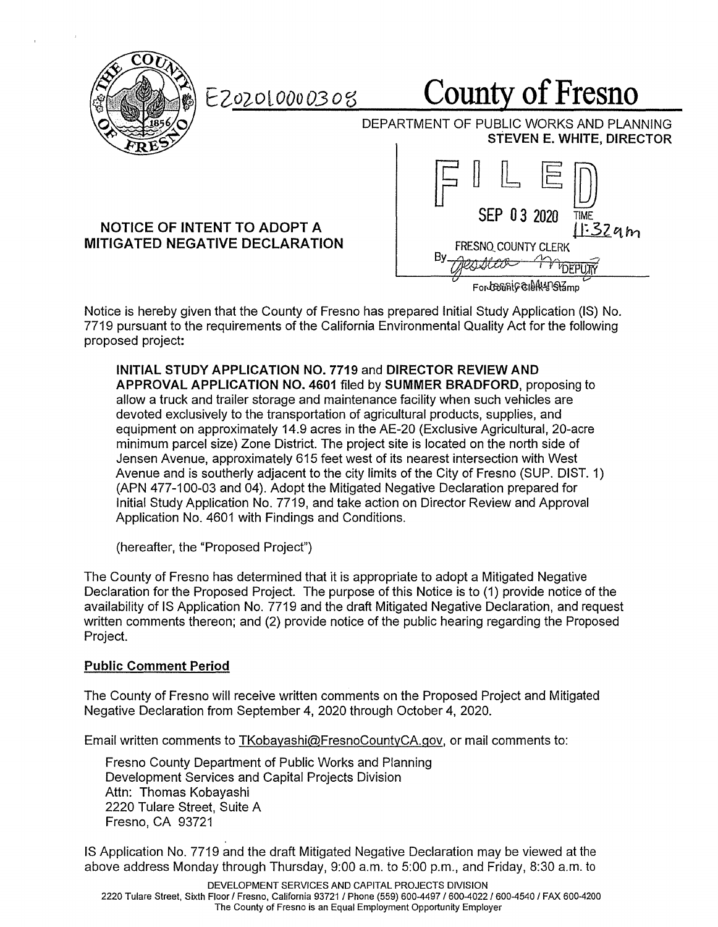

EZ02010000308

# **County of Fresno**

DEPARTMENT OF PUBLIC WORKS AND PLANNING **STEVEN E. WHITE, DIRECTOR** 

### **NOTICE OF INTENT TO ADOPT A MITIGATED NEGATIVE DECLARATION**



Notice is hereby given that the County of Fresno has prepared Initial Study Application (IS) No. 7719 pursuant to the requirements of the California Environmental Quality Act for the following proposed project:

**INITIAL STUDY APPLICATION NO. 7719** and **DIRECTOR REVIEW AND APPROVAL APPLICATION NO. 4601** filed by **SUMMER BRADFORD,** proposing to allow a truck and trailer storage and maintenance facility when such vehicles are devoted exclusively to the transportation of agricultural products, supplies, and equipment on approximately 14.9 acres in the AE-20 (Exclusive Agricultural, 20-acre minimum parcel size) Zone District. The project site is located on the north side of Jensen Avenue, approximately 615 feet west of its nearest intersection with West Avenue and is southerly adjacent to the city limits of the City of Fresno (SUP. DIST. 1) (APN 477-100-03 and 04). Adopt the Mitigated Negative Declaration prepared for Initial Study Application No. 7719, and take action on Director Review and Approval Application No. 4601 with Findings and Conditions.

(hereafter, the "Proposed Project")

The County of Fresno has determined that it is appropriate to adopt a Mitigated Negative Declaration for the Proposed Project. The purpose of this Notice is to ( 1) provide notice of the availability of IS Application No. 7719 and the draft Mitigated Negative Declaration, and request written comments thereon; and (2) provide notice of the public hearing regarding the Proposed Project.

### **Public Comment Period**

The County of Fresno will receive written comments on the Proposed Project and Mitigated Negative Declaration from September 4, 2020 through October 4, 2020.

Email written comments to TKobayashi@FresnoCountyCA.gov, or mail comments to:

Fresno County Department of Public Works and Planning Development Services and Capital Projects Division Attn: Thomas Kobayashi 2220 Tulare Street, Suite A Fresno, CA 93721

IS Application No. 7719 and the draft Mitigated Negative Declaration may be viewed at the above address Monday through Thursday, 9:00 a.m. to 5:00 p.m., and Friday, 8:30 a.m. to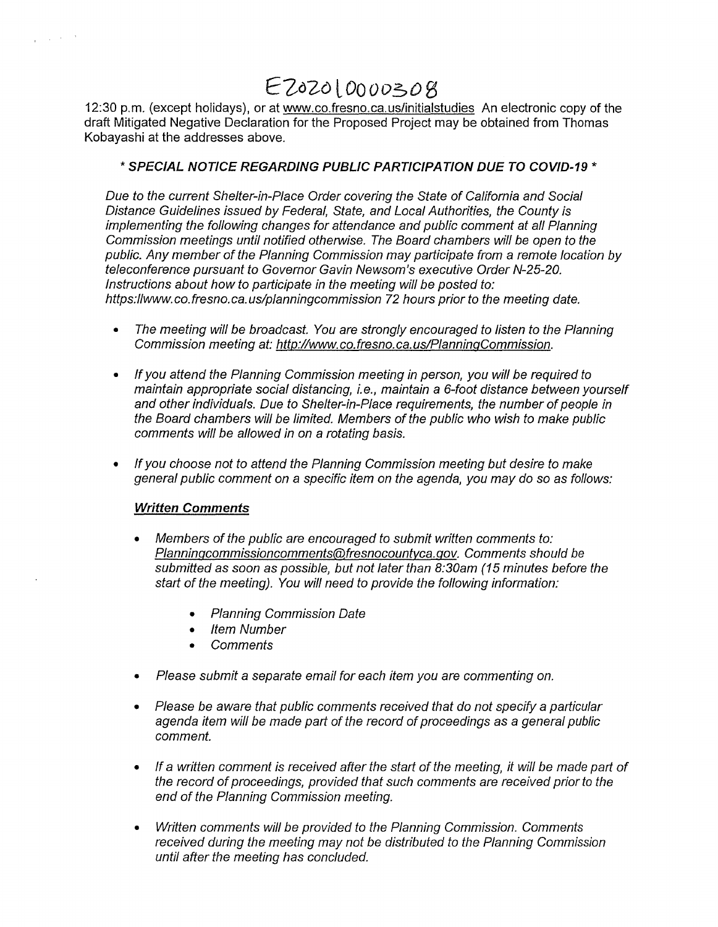# *E-ZoZolOooo.soS*

12:30 p.m. (except holidays), or at www.co.fresno.ca.us/initialstudies An electronic copy of the draft Mitigated Negative Declaration for the Proposed Project may be obtained from Thomas Kobayashi at the addresses above.

#### \* **SPECIAL NOTICE REGARDING PUBLIC PARTICIPATION DUE TO COVID-19** \*

Due to the current Shelter-in-Place Order covering the State of California and Social Distance Guidelines issued by Federal, State, and Local Authorities, the County is implementing the following changes for attendance and public comment at all Planning Commission meetings until notified otherwise. The Board chambers will be open to the public. Any member of the Planning Commission may participate from a remote location by teleconference pursuant to Governor Gavin Newsom's executive Order N-25-20. Instructions about how to participate in the meeting will be posted to: https://www.co.fresno.ca.us/planningcommission 72 hours prior to the meeting date.

- The meeting will be broadcast. You are strongly encouraged to listen to the Planning Commission meeting at: http://www. co. fresno. ca. us/PlanninqCommission.
- If you attend the Planning Commission meeting in person, you will be required to maintain appropriate social distancing, i.e., maintain a 6-foot distance between yourself and other individuals. Due to Shelter-in-Place requirements, the number of people in the Board chambers will be limited. Members of the public who wish to make public comments will be allowed in on a rotating basis.
- If you choose not to attend the Planning Commission meeting but desire to make general public comment on a specific item on the agenda, you may do so as follows:

#### **Written Comments**

 $\gamma_{\rm{max}} \sim 10^{-14}$ 

- Members of the public are encouraged to submit written comments to: Planningcommissioncomments@fresnocountyca.gov. Comments should be submitted as soon as possible, but not later than 8:30am (15 minutes before the start of the meeting). You will need to provide the following information:
	- Planning Commission Date
	- Item Number
	- **Comments**
- Please submit a separate email for each item you are commenting on.
- Please be aware that public comments received that do not specify a particular agenda item will be made part of the record of proceedings as a general public comment.
- If a written comment is received after the start of the meeting, it will be made part of the record of proceedings, provided that such comments are received prior to the end of the Planning Commission meeting.
- Written comments will be provided to the Planning Commission. Comments received during the meeting may not be distributed to the Planning Commission until after the meeting has concluded.